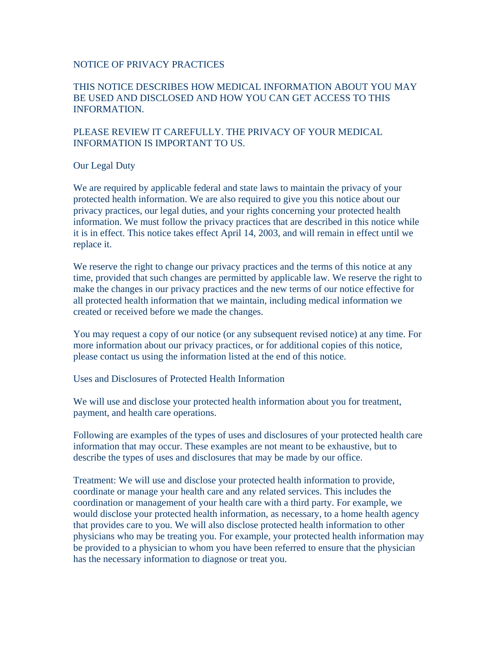#### NOTICE OF PRIVACY PRACTICES

# THIS NOTICE DESCRIBES HOW MEDICAL INFORMATION ABOUT YOU MAY BE USED AND DISCLOSED AND HOW YOU CAN GET ACCESS TO THIS INFORMATION.

# PLEASE REVIEW IT CAREFULLY. THE PRIVACY OF YOUR MEDICAL INFORMATION IS IMPORTANT TO US.

### Our Legal Duty

We are required by applicable federal and state laws to maintain the privacy of your protected health information. We are also required to give you this notice about our privacy practices, our legal duties, and your rights concerning your protected health information. We must follow the privacy practices that are described in this notice while it is in effect. This notice takes effect April 14, 2003, and will remain in effect until we replace it.

We reserve the right to change our privacy practices and the terms of this notice at any time, provided that such changes are permitted by applicable law. We reserve the right to make the changes in our privacy practices and the new terms of our notice effective for all protected health information that we maintain, including medical information we created or received before we made the changes.

You may request a copy of our notice (or any subsequent revised notice) at any time. For more information about our privacy practices, or for additional copies of this notice, please contact us using the information listed at the end of this notice.

Uses and Disclosures of Protected Health Information

We will use and disclose your protected health information about you for treatment, payment, and health care operations.

Following are examples of the types of uses and disclosures of your protected health care information that may occur. These examples are not meant to be exhaustive, but to describe the types of uses and disclosures that may be made by our office.

Treatment: We will use and disclose your protected health information to provide, coordinate or manage your health care and any related services. This includes the coordination or management of your health care with a third party. For example, we would disclose your protected health information, as necessary, to a home health agency that provides care to you. We will also disclose protected health information to other physicians who may be treating you. For example, your protected health information may be provided to a physician to whom you have been referred to ensure that the physician has the necessary information to diagnose or treat you.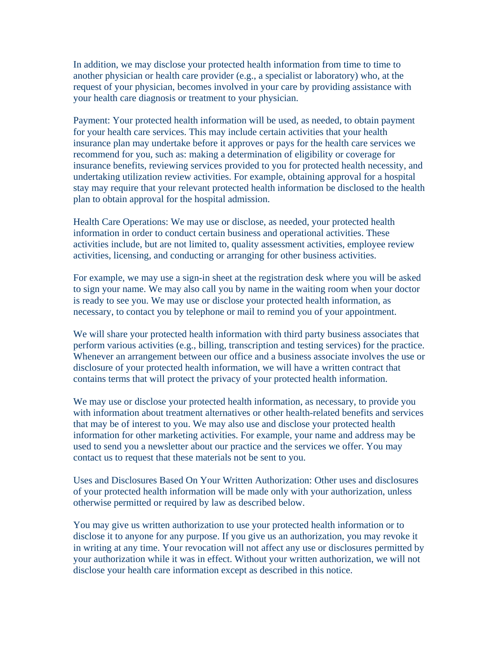In addition, we may disclose your protected health information from time to time to another physician or health care provider (e.g., a specialist or laboratory) who, at the request of your physician, becomes involved in your care by providing assistance with your health care diagnosis or treatment to your physician.

Payment: Your protected health information will be used, as needed, to obtain payment for your health care services. This may include certain activities that your health insurance plan may undertake before it approves or pays for the health care services we recommend for you, such as: making a determination of eligibility or coverage for insurance benefits, reviewing services provided to you for protected health necessity, and undertaking utilization review activities. For example, obtaining approval for a hospital stay may require that your relevant protected health information be disclosed to the health plan to obtain approval for the hospital admission.

Health Care Operations: We may use or disclose, as needed, your protected health information in order to conduct certain business and operational activities. These activities include, but are not limited to, quality assessment activities, employee review activities, licensing, and conducting or arranging for other business activities.

For example, we may use a sign-in sheet at the registration desk where you will be asked to sign your name. We may also call you by name in the waiting room when your doctor is ready to see you. We may use or disclose your protected health information, as necessary, to contact you by telephone or mail to remind you of your appointment.

We will share your protected health information with third party business associates that perform various activities (e.g., billing, transcription and testing services) for the practice. Whenever an arrangement between our office and a business associate involves the use or disclosure of your protected health information, we will have a written contract that contains terms that will protect the privacy of your protected health information.

We may use or disclose your protected health information, as necessary, to provide you with information about treatment alternatives or other health-related benefits and services that may be of interest to you. We may also use and disclose your protected health information for other marketing activities. For example, your name and address may be used to send you a newsletter about our practice and the services we offer. You may contact us to request that these materials not be sent to you.

Uses and Disclosures Based On Your Written Authorization: Other uses and disclosures of your protected health information will be made only with your authorization, unless otherwise permitted or required by law as described below.

You may give us written authorization to use your protected health information or to disclose it to anyone for any purpose. If you give us an authorization, you may revoke it in writing at any time. Your revocation will not affect any use or disclosures permitted by your authorization while it was in effect. Without your written authorization, we will not disclose your health care information except as described in this notice.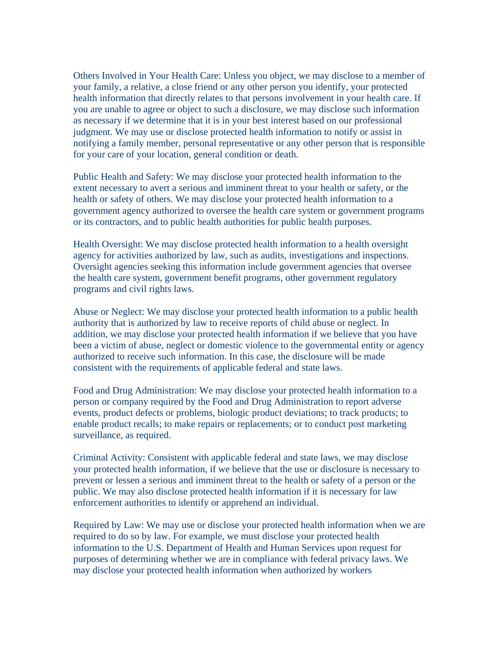Others Involved in Your Health Care: Unless you object, we may disclose to a member of your family, a relative, a close friend or any other person you identify, your protected health information that directly relates to that persons involvement in your health care. If you are unable to agree or object to such a disclosure, we may disclose such information as necessary if we determine that it is in your best interest based on our professional judgment. We may use or disclose protected health information to notify or assist in notifying a family member, personal representative or any other person that is responsible for your care of your location, general condition or death.

Public Health and Safety: We may disclose your protected health information to the extent necessary to avert a serious and imminent threat to your health or safety, or the health or safety of others. We may disclose your protected health information to a government agency authorized to oversee the health care system or government programs or its contractors, and to public health authorities for public health purposes.

Health Oversight: We may disclose protected health information to a health oversight agency for activities authorized by law, such as audits, investigations and inspections. Oversight agencies seeking this information include government agencies that oversee the health care system, government benefit programs, other government regulatory programs and civil rights laws.

Abuse or Neglect: We may disclose your protected health information to a public health authority that is authorized by law to receive reports of child abuse or neglect. In addition, we may disclose your protected health information if we believe that you have been a victim of abuse, neglect or domestic violence to the governmental entity or agency authorized to receive such information. In this case, the disclosure will be made consistent with the requirements of applicable federal and state laws.

Food and Drug Administration: We may disclose your protected health information to a person or company required by the Food and Drug Administration to report adverse events, product defects or problems, biologic product deviations; to track products; to enable product recalls; to make repairs or replacements; or to conduct post marketing surveillance, as required.

Criminal Activity: Consistent with applicable federal and state laws, we may disclose your protected health information, if we believe that the use or disclosure is necessary to prevent or lessen a serious and imminent threat to the health or safety of a person or the public. We may also disclose protected health information if it is necessary for law enforcement authorities to identify or apprehend an individual.

Required by Law: We may use or disclose your protected health information when we are required to do so by law. For example, we must disclose your protected health information to the U.S. Department of Health and Human Services upon request for purposes of determining whether we are in compliance with federal privacy laws. We may disclose your protected health information when authorized by workers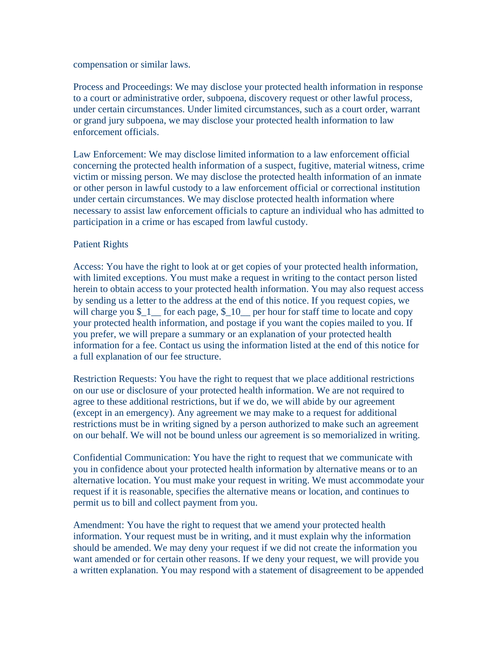compensation or similar laws.

Process and Proceedings: We may disclose your protected health information in response to a court or administrative order, subpoena, discovery request or other lawful process, under certain circumstances. Under limited circumstances, such as a court order, warrant or grand jury subpoena, we may disclose your protected health information to law enforcement officials.

Law Enforcement: We may disclose limited information to a law enforcement official concerning the protected health information of a suspect, fugitive, material witness, crime victim or missing person. We may disclose the protected health information of an inmate or other person in lawful custody to a law enforcement official or correctional institution under certain circumstances. We may disclose protected health information where necessary to assist law enforcement officials to capture an individual who has admitted to participation in a crime or has escaped from lawful custody.

### Patient Rights

Access: You have the right to look at or get copies of your protected health information, with limited exceptions. You must make a request in writing to the contact person listed herein to obtain access to your protected health information. You may also request access by sending us a letter to the address at the end of this notice. If you request copies, we will charge you  $\frac{1}{2}$  for each page,  $\frac{10}{2}$  per hour for staff time to locate and copy your protected health information, and postage if you want the copies mailed to you. If you prefer, we will prepare a summary or an explanation of your protected health information for a fee. Contact us using the information listed at the end of this notice for a full explanation of our fee structure.

Restriction Requests: You have the right to request that we place additional restrictions on our use or disclosure of your protected health information. We are not required to agree to these additional restrictions, but if we do, we will abide by our agreement (except in an emergency). Any agreement we may make to a request for additional restrictions must be in writing signed by a person authorized to make such an agreement on our behalf. We will not be bound unless our agreement is so memorialized in writing.

Confidential Communication: You have the right to request that we communicate with you in confidence about your protected health information by alternative means or to an alternative location. You must make your request in writing. We must accommodate your request if it is reasonable, specifies the alternative means or location, and continues to permit us to bill and collect payment from you.

Amendment: You have the right to request that we amend your protected health information. Your request must be in writing, and it must explain why the information should be amended. We may deny your request if we did not create the information you want amended or for certain other reasons. If we deny your request, we will provide you a written explanation. You may respond with a statement of disagreement to be appended